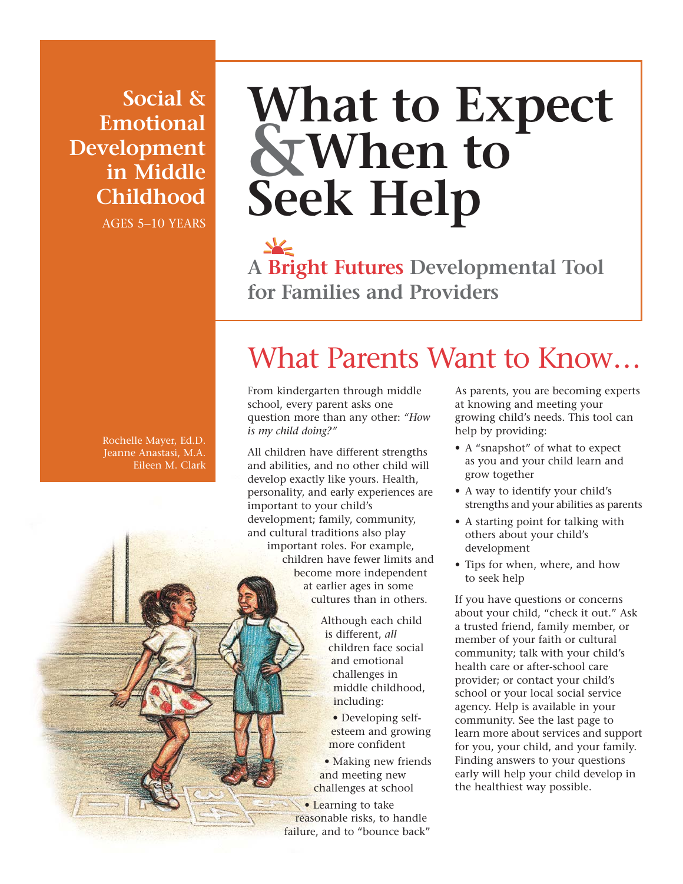**Social & Emotional Development in Middle Childhood** AGES 5–10 YEARS

# **What to Expect &When to Seek Help**

**A Bright Futures Developmental Tool for Families and Providers**

## What Parents Want to Know…

From kindergarten through middle school, every parent asks one question more than any other: *"How is my child doing?"*

All children have different strengths and abilities, and no other child will develop exactly like yours. Health, personality, and early experiences are important to your child's development; family, community, and cultural traditions also play important roles. For example, children have fewer limits and become more independent at earlier ages in some cultures than in others.

> Although each child is different, *all* children face social and emotional challenges in middle childhood, including:

• Developing selfesteem and growing more confident

• Making new friends and meeting new challenges at school

• Learning to take reasonable risks, to handle failure, and to "bounce back" As parents, you are becoming experts at knowing and meeting your growing child's needs. This tool can help by providing:

- A "snapshot" of what to expect as you and your child learn and grow together
- A way to identify your child's strengths and your abilities as parents
- A starting point for talking with others about your child's development
- Tips for when, where, and how to seek help

If you have questions or concerns about your child, "check it out." Ask a trusted friend, family member, or member of your faith or cultural community; talk with your child's health care or after-school care provider; or contact your child's school or your local social service agency. Help is available in your community. See the last page to learn more about services and support for you, your child, and your family. Finding answers to your questions early will help your child develop in the healthiest way possible.

Rochelle Mayer, Ed.D. Jeanne Anastasi, M.A. Eileen M. Clark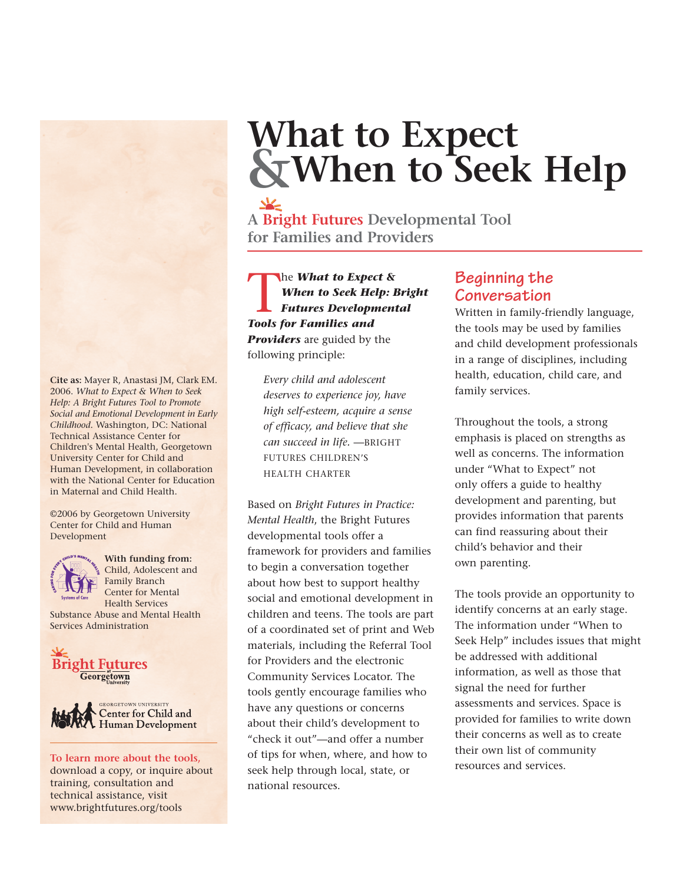# **What to Expect &When to Seek Help**

**A Bright Futures Developmental Tool for Families and Providers**

The *What to Expect &*<br>When to Seek Help: E<br>Futures Development<br>Tools for Families and *When to Seek Help: Bright Futures Developmental Tools for Families and Providers* are guided by the following principle:

*Every child and adolescent deserves to experience joy, have high self-esteem, acquire a sense of efficacy, and believe that she can succeed in life.* —BRIGHT FUTURES CHILDREN'S HEALTH CHARTER

Based on *Bright Futures in Practice: Mental Health*, the Bright Futures developmental tools offer a framework for providers and families to begin a conversation together about how best to support healthy social and emotional development in children and teens. The tools are part of a coordinated set of print and Web materials, including the Referral Tool for Providers and the electronic Community Services Locator. The tools gently encourage families who have any questions or concerns about their child's development to "check it out"—and offer a number of tips for when, where, and how to seek help through local, state, or national resources. To learn more about the tools, or ups for when, where, and now to the the tools of the top of the top of the three services.

### **Beginning the Conversation**

Written in family-friendly language, the tools may be used by families and child development professionals in a range of disciplines, including health, education, child care, and family services.

Throughout the tools, a strong emphasis is placed on strengths as well as concerns. The information under "What to Expect" not only offers a guide to healthy development and parenting, but provides information that parents can find reassuring about their child's behavior and their own parenting.

The tools provide an opportunity to identify concerns at an early stage. The information under "When to Seek Help" includes issues that might be addressed with additional information, as well as those that signal the need for further assessments and services. Space is provided for families to write down their concerns as well as to create their own list of community

**Cite as:** Mayer R, Anastasi JM, Clark EM. 2006. *What to Expect & When to Seek Help: A Bright Futures Tool to Promote Social and Emotional Development in Early Childhood*. Washington, DC: National Technical Assistance Center for Children's Mental Health, Georgetown University Center for Child and Human Development, in collaboration with the National Center for Education in Maternal and Child Health.

©2006 by Georgetown University Center for Child and Human Development



**With funding from:** Child, Adolescent and Family Branch Center for Mental

Health Services Substance Abuse and Mental Health Services Administration





download a copy, or inquire about training, consultation and technical assistance, visit www.brightfutures.org/tools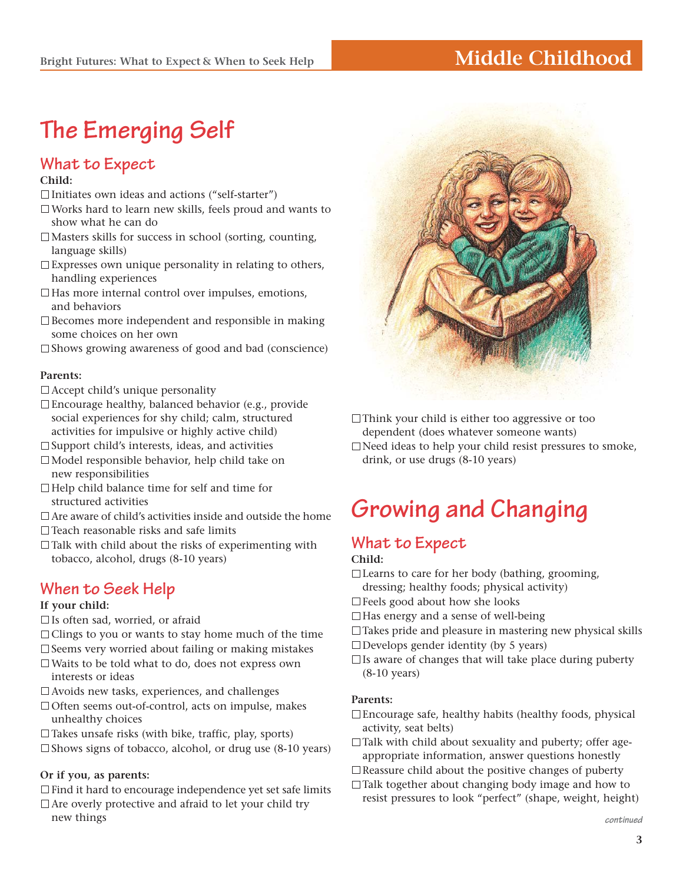## **Middle Childhood**

## **The Emerging Self**

## **What to Expect**

#### **Child:**

- $\Box$ Initiates own ideas and actions ("self-starter")
- Works hard to learn new skills, feels proud and wants to show what he can do
- Masters skills for success in school (sorting, counting, language skills)
- $\square$  Expresses own unique personality in relating to others, handling experiences
- $\Box$  Has more internal control over impulses, emotions, and behaviors
- $\square$  Becomes more independent and responsible in making some choices on her own
- $\square$  Shows growing awareness of good and bad (conscience)

#### **Parents:**

- $\Box$  Accept child's unique personality
- Encourage healthy, balanced behavior (e.g., provide social experiences for shy child; calm, structured activities for impulsive or highly active child)
- $\square$  Support child's interests, ideas, and activities
- Model responsible behavior, help child take on new responsibilities
- $\Box$  Help child balance time for self and time for structured activities
- $\Box$  Are aware of child's activities inside and outside the home
- $\Box$  Teach reasonable risks and safe limits
- $\Box$  Talk with child about the risks of experimenting with tobacco, alcohol, drugs (8-10 years)

### **When to Seek Help**

#### **If your child:**

- Is often sad, worried, or afraid
- $\Box$  Clings to you or wants to stay home much of the time
- $\square$  Seems very worried about failing or making mistakes Waits to be told what to do, does not express own
- interests or ideas
- Avoids new tasks, experiences, and challenges
- □ Often seems out-of-control, acts on impulse, makes unhealthy choices
- $\Box$  Takes unsafe risks (with bike, traffic, play, sports)
- $\square$  Shows signs of tobacco, alcohol, or drug use (8-10 years)

#### **Or if you, as parents:**

 $\Box$  Find it hard to encourage independence yet set safe limits  $\Box$  Are overly protective and afraid to let your child try new things



 $\Box$ Think your child is either too aggressive or too dependent (does whatever someone wants)

 $\Box$  Need ideas to help your child resist pressures to smoke, drink, or use drugs (8-10 years)

## **Growing and Changing**

## **What to Expect**

**Child:**

- $\Box$  Learns to care for her body (bathing, grooming, dressing; healthy foods; physical activity)
- □ Feels good about how she looks
- $\Box$  Has energy and a sense of well-being
- $\Box$  Takes pride and pleasure in mastering new physical skills
- $\Box$  Develops gender identity (by 5 years)
- $\Box$  Is aware of changes that will take place during puberty (8-10 years)

#### **Parents:**

- $\Box$  Encourage safe, healthy habits (healthy foods, physical activity, seat belts)
- $\Box$  Talk with child about sexuality and puberty; offer ageappropriate information, answer questions honestly
- $\Box$  Reassure child about the positive changes of puberty
- □Talk together about changing body image and how to resist pressures to look "perfect" (shape, weight, height)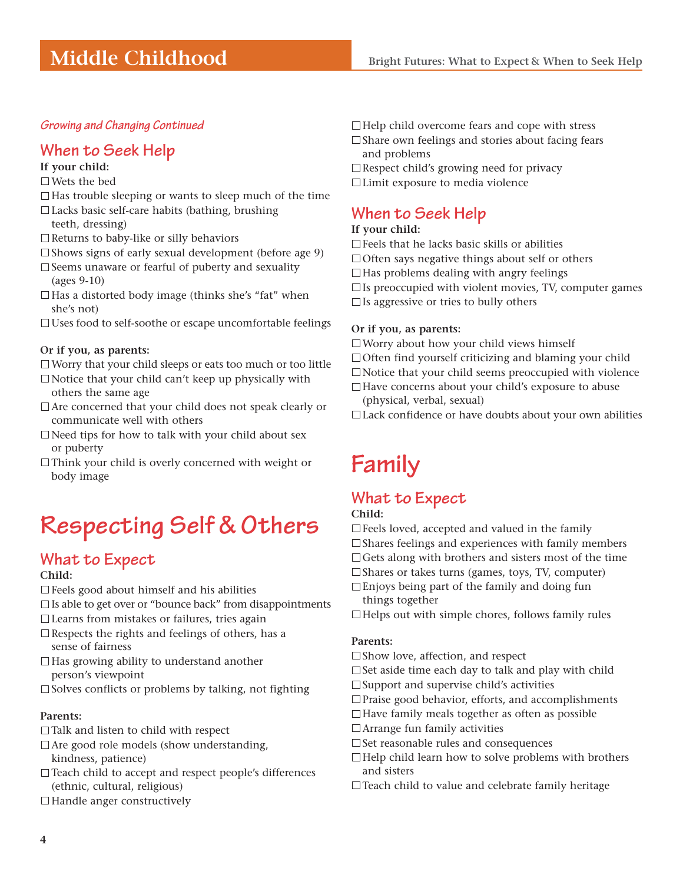## **Middle Childhood**

#### **Growing and Changing Continued**

### **When to Seek Help**

#### **If your child:**

#### Wets the bed

- $\Box$  Has trouble sleeping or wants to sleep much of the time
- Lacks basic self-care habits (bathing, brushing teeth, dressing)
- $\Box$  Returns to baby-like or silly behaviors
- $\square$  Shows signs of early sexual development (before age 9)
- $\square$  Seems unaware or fearful of puberty and sexuality (ages 9-10)
- $\Box$  Has a distorted body image (thinks she's "fat" when she's not)
- Uses food to self-soothe or escape uncomfortable feelings

#### **Or if you, as parents:**

- $\Box$  Worry that your child sleeps or eats too much or too little
- $\Box$  Notice that your child can't keep up physically with others the same age
- $\Box$  Are concerned that your child does not speak clearly or communicate well with others
- $\Box$  Need tips for how to talk with your child about sex or puberty
- $\Box$ Think your child is overly concerned with weight or body image

## **Respecting Self & Others**

### **What to Expect**

#### **Child:**

- Feels good about himself and his abilities
- $\square$  Is able to get over or "bounce back" from disappointments
- Learns from mistakes or failures, tries again
- $\Box$  Respects the rights and feelings of others, has a sense of fairness
- $\Box$  Has growing ability to understand another person's viewpoint
- $\square$  Solves conflicts or problems by talking, not fighting

#### **Parents:**

- $\Box$  Talk and listen to child with respect
- $\Box$  Are good role models (show understanding, kindness, patience)
- □ Teach child to accept and respect people's differences (ethnic, cultural, religious)
- $\Box$  Handle anger constructively
- $\Box$  Help child overcome fears and cope with stress  $\square$  Share own feelings and stories about facing fears and problems
- $\square$  Respect child's growing need for privacy
- Limit exposure to media violence

### **When to Seek Help**

#### **If your child:**

- $\square$  Feels that he lacks basic skills or abilities
- $\Box$  Often says negative things about self or others
- $\Box$  Has problems dealing with angry feelings
- $\square$  Is preoccupied with violent movies, TV, computer games
- $\Box$  Is aggressive or tries to bully others

#### **Or if you, as parents:**

- Worry about how your child views himself
- $\Box$  Often find yourself criticizing and blaming your child
- $\Box$  Notice that your child seems preoccupied with violence
- □ Have concerns about your child's exposure to abuse (physical, verbal, sexual)
- Lack confidence or have doubts about your own abilities

## **Family**

### **What to Expect**

#### **Child:**

- $\Box$  Feels loved, accepted and valued in the family  $\square$  Shares feelings and experiences with family members  $\Box$  Gets along with brothers and sisters most of the time  $\square$  Shares or takes turns (games, toys, TV, computer)
- 
- $\Box$  Enjoys being part of the family and doing fun things together
- $\Box$  Helps out with simple chores, follows family rules

#### **Parents:**

- □Show love, affection, and respect
- $\square$  Set aside time each day to talk and play with child
- $\square$  Support and supervise child's activities
- Praise good behavior, efforts, and accomplishments
- $\Box$  Have family meals together as often as possible
- □ Arrange fun family activities
- $\square$  Set reasonable rules and consequences
- $\Box$  Help child learn how to solve problems with brothers and sisters
- $\Box$  Teach child to value and celebrate family heritage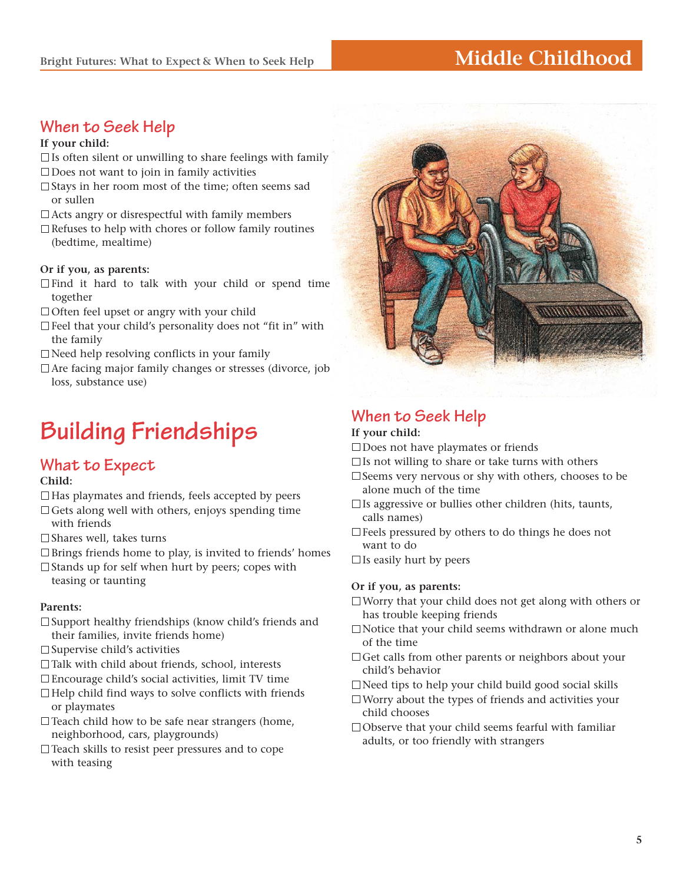#### **Bright Futures: What to Expect & When to Seek Help**

## **When to Seek Help**

#### **If your child:**

- $\square$  Is often silent or unwilling to share feelings with family
- Does not want to join in family activities
- $\square$  Stays in her room most of the time: often seems sad or sullen
- $\Box$  Acts angry or disrespectful with family members
- $\Box$  Refuses to help with chores or follow family routines (bedtime, mealtime)

#### **Or if you, as parents:**

- $\Box$  Find it hard to talk with your child or spend time together
- $\Box$  Often feel upset or angry with your child
- Feel that your child's personality does not "fit in" with the family
- $\Box$  Need help resolving conflicts in your family
- Are facing major family changes or stresses (divorce, job loss, substance use)

## **Building Friendships**

### **What to Expect**

#### **Child:**

- $\Box$  Has playmates and friends, feels accepted by peers  $\Box$  Gets along well with others, enjoys spending time
- with friends
- $\Box$  Shares well, takes turns
- □Brings friends home to play, is invited to friends' homes
- $\Box$  Stands up for self when hurt by peers; copes with teasing or taunting

#### **Parents:**

- $\square$  Support healthy friendships (know child's friends and their families, invite friends home)
- $\square$  Supervise child's activities
- □Talk with child about friends, school, interests
- Encourage child's social activities, limit TV time
- $\Box$  Help child find ways to solve conflicts with friends or playmates
- $\Box$  Teach child how to be safe near strangers (home, neighborhood, cars, playgrounds)
- Teach skills to resist peer pressures and to cope with teasing



**Middle Childhood**

### **When to Seek Help**

#### **If your child:**

□ Does not have playmates or friends

- $\square$  Is not willing to share or take turns with others
- $\square$  Seems very nervous or shy with others, chooses to be alone much of the time
- $\Box$  Is aggressive or bullies other children (hits, taunts, calls names)
- $\square$  Feels pressured by others to do things he does not want to do
- $\Box$  Is easily hurt by peers

#### **Or if you, as parents:**

- Worry that your child does not get along with others or has trouble keeping friends
- Notice that your child seems withdrawn or alone much of the time
- □ Get calls from other parents or neighbors about your child's behavior
- Need tips to help your child build good social skills
- Worry about the types of friends and activities your child chooses
- $\Box$  Observe that your child seems fearful with familiar adults, or too friendly with strangers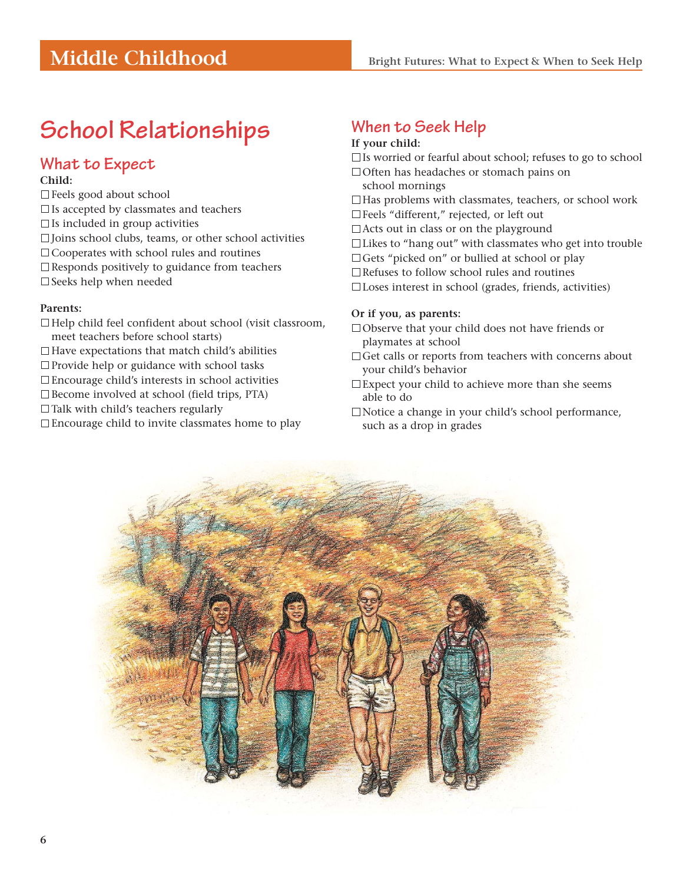## **School Relationships**

### **What to Expect**

#### **Child:**

- Feels good about school
- $\square$  Is accepted by classmates and teachers
- $\Box$  Is included in group activities
- $\square$  Joins school clubs, teams, or other school activities
- □ Cooperates with school rules and routines
- $\square$  Responds positively to guidance from teachers
- □ Seeks help when needed

#### **Parents:**

- $\Box$  Help child feel confident about school (visit classroom, meet teachers before school starts)
- $\Box$  Have expectations that match child's abilities
- $\square$  Provide help or guidance with school tasks
- Encourage child's interests in school activities
- $\square$  Become involved at school (field trips, PTA)
- $\Box$  Talk with child's teachers regularly
- Encourage child to invite classmates home to play

## **When to Seek Help**

#### **If your child:**

- $\Box$  Is worried or fearful about school; refuses to go to school
- □ Often has headaches or stomach pains on
- school mornings
- $\Box$  Has problems with classmates, teachers, or school work
- Feels "different," rejected, or left out
- $\Box$  Acts out in class or on the playground
- Likes to "hang out" with classmates who get into trouble
- □ Gets "picked on" or bullied at school or play
- □Refuses to follow school rules and routines

 $\square$  Loses interest in school (grades, friends, activities)

#### **Or if you, as parents:**

- Observe that your child does not have friends or playmates at school
- $\Box$  Get calls or reports from teachers with concerns about your child's behavior
- Expect your child to achieve more than she seems able to do
- □Notice a change in your child's school performance, such as a drop in grades

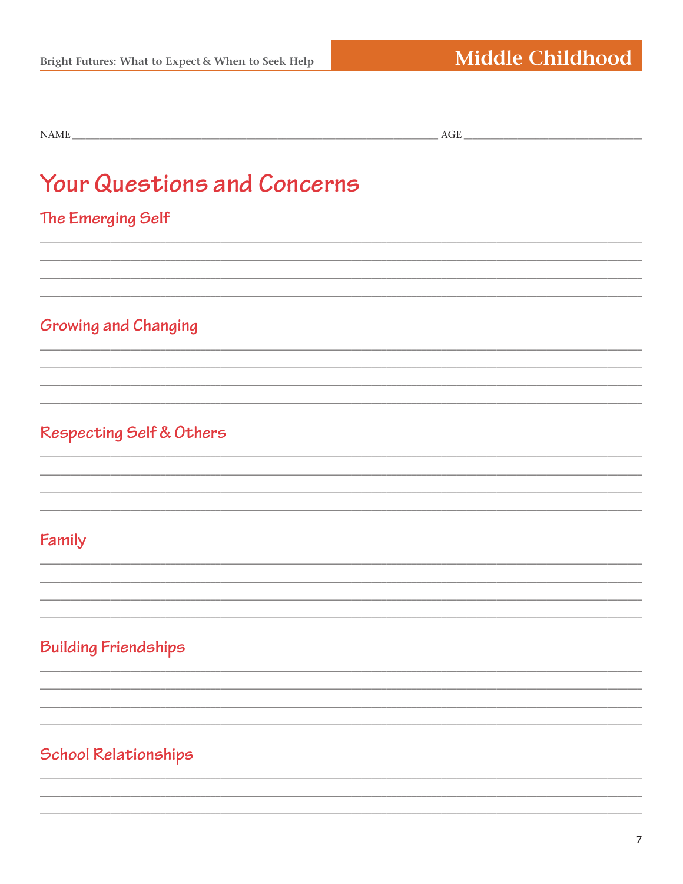## **Your Questions and Concerns**

## The Emerging Self

## **Growing and Changing**

## Respecting Self & Others

## Family

## **Building Friendships**

## **School Relationships**